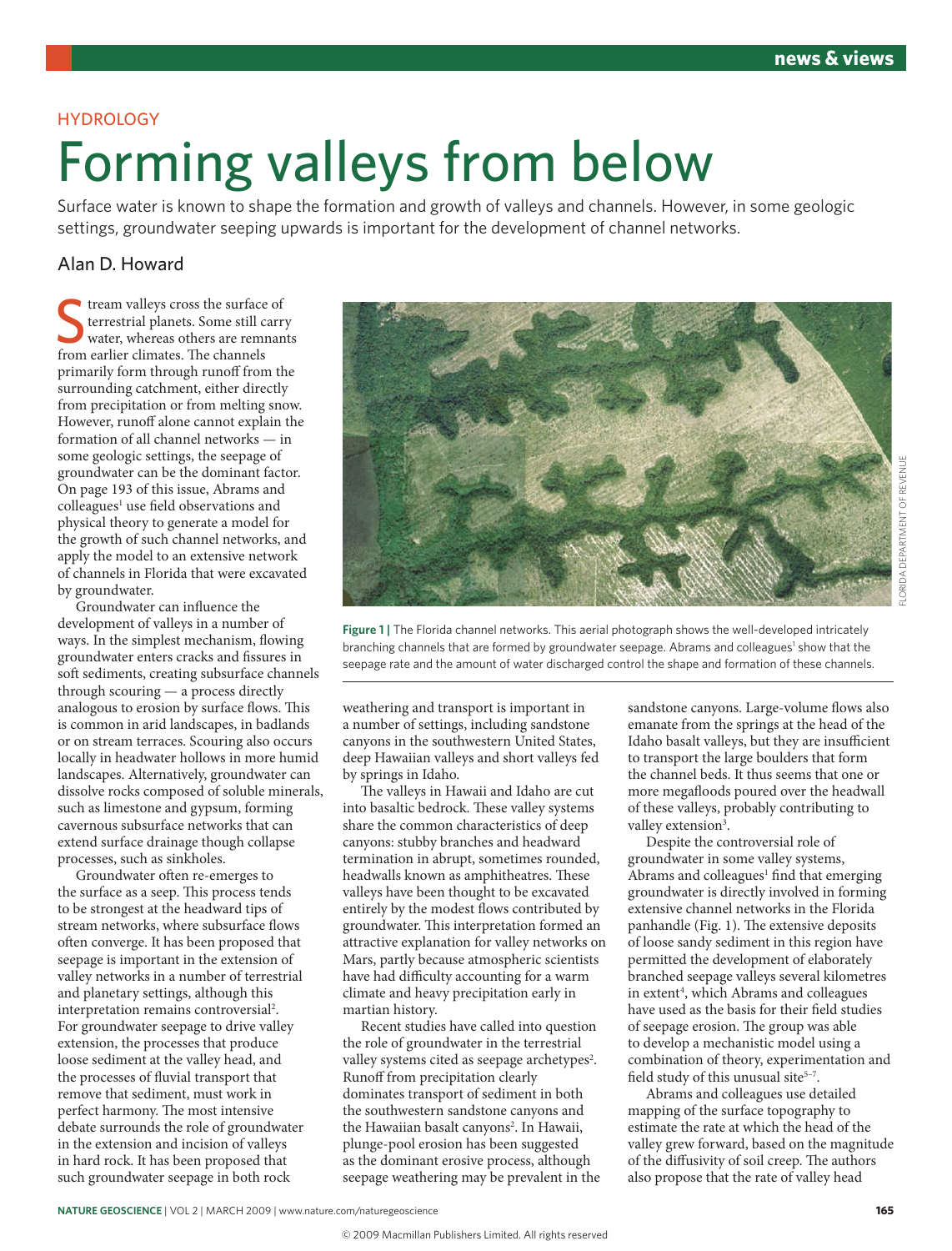### **HYDROLOGY**

# Forming valleys from below

Surface water is known to shape the formation and growth of valleys and channels. However, in some geologic settings, groundwater seeping upwards is important for the development of channel networks.

## Alan D. Howard

from valleys cross the surface<br>
still content to the channels water, whereas others are remn<br>
from earlier climates. The channels tream valleys cross the surface of terrestrial planets. Some still carry water, whereas others are remnants primarily form through runoff from the surrounding catchment, either directly from precipitation or from melting snow. However, runoff alone cannot explain the formation of all channel networks — in some geologic settings, the seepage of groundwater can be the dominant factor. On page 193 of this issue, Abrams and colleagues<sup>1</sup> use field observations and physical theory to generate a model for the growth of such channel networks, and apply the model to an extensive network of channels in Florida that were excavated by groundwater.

Groundwater can influence the development of valleys in a number of ways. In the simplest mechanism, flowing groundwater enters cracks and fissures in soft sediments, creating subsurface channels through scouring — a process directly analogous to erosion by surface flows. This is common in arid landscapes, in badlands or on stream terraces. Scouring also occurs locally in headwater hollows in more humid landscapes. Alternatively, groundwater can dissolve rocks composed of soluble minerals, such as limestone and gypsum, forming cavernous subsurface networks that can extend surface drainage though collapse processes, such as sinkholes.

Groundwater often re-emerges to the surface as a seep. This process tends to be strongest at the headward tips of stream networks, where subsurface flows often converge. It has been proposed that seepage is important in the extension of valley networks in a number of terrestrial and planetary settings, although this interpretation remains controversial<sup>2</sup>. For groundwater seepage to drive valley extension, the processes that produce loose sediment at the valley head, and the processes of fluvial transport that remove that sediment, must work in perfect harmony. The most intensive debate surrounds the role of groundwater in the extension and incision of valleys in hard rock. It has been proposed that such groundwater seepage in both rock



**Figure 1 |** The Florida channel networks. This aerial photograph shows the well-developed intricately branching channels that are formed by groundwater seepage. Abrams and colleagues<sup>1</sup> show that the seepage rate and the amount of water discharged control the shape and formation of these channels.

weathering and transport is important in a number of settings, including sandstone canyons in the southwestern United States, deep Hawaiian valleys and short valleys fed by springs in Idaho.

The valleys in Hawaii and Idaho are cut into basaltic bedrock. These valley systems share the common characteristics of deep canyons: stubby branches and headward termination in abrupt, sometimes rounded, headwalls known as amphitheatres. These valleys have been thought to be excavated entirely by the modest flows contributed by groundwater. This interpretation formed an attractive explanation for valley networks on Mars, partly because atmospheric scientists have had difficulty accounting for a warm climate and heavy precipitation early in martian history.

Recent studies have called into question the role of groundwater in the terrestrial valley systems cited as seepage archetypes<sup>2</sup>. Runoff from precipitation clearly dominates transport of sediment in both the southwestern sandstone canyons and the Hawaiian basalt canyons<sup>2</sup>. In Hawaii, plunge-pool erosion has been suggested as the dominant erosive process, although seepage weathering may be prevalent in the

sandstone canyons. Large-volume flows also emanate from the springs at the head of the Idaho basalt valleys, but they are insufficient to transport the large boulders that form the channel beds. It thus seems that one or more megafloods poured over the headwall of these valleys, probably contributing to valley extension<sup>3</sup>.

Despite the controversial role of groundwater in some valley systems, Abrams and colleagues<sup>1</sup> find that emerging groundwater is directly involved in forming extensive channel networks in the Florida panhandle (Fig. 1). The extensive deposits of loose sandy sediment in this region have permitted the development of elaborately branched seepage valleys several kilometres in extent<sup>4</sup>, which Abrams and colleagues have used as the basis for their field studies of seepage erosion. The group was able to develop a mechanistic model using a combination of theory, experimentation and field study of this unusual site<sup>5-7</sup>.

Abrams and colleagues use detailed mapping of the surface topography to estimate the rate at which the head of the valley grew forward, based on the magnitude of the diffusivity of soil creep. The authors also propose that the rate of valley head